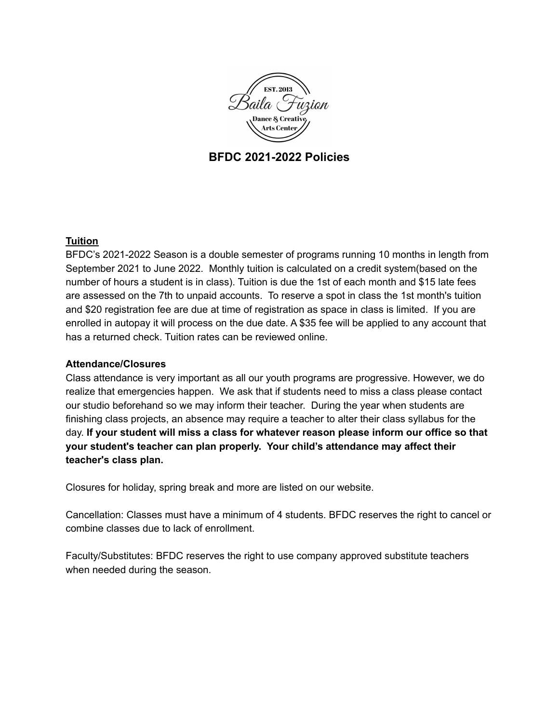

# **BFDC 2021-2022 Policies**

# **Tuition**

BFDC's 2021-2022 Season is a double semester of programs running 10 months in length from September 2021 to June 2022. Monthly tuition is calculated on a credit system(based on the number of hours a student is in class). Tuition is due the 1st of each month and \$15 late fees are assessed on the 7th to unpaid accounts. To reserve a spot in class the 1st month's tuition and \$20 registration fee are due at time of registration as space in class is limited. If you are enrolled in autopay it will process on the due date. A \$35 fee will be applied to any account that has a returned check. Tuition rates can be reviewed online.

### **Attendance/Closures**

Class attendance is very important as all our youth programs are progressive. However, we do realize that emergencies happen. We ask that if students need to miss a class please contact our studio beforehand so we may inform their teacher. During the year when students are finishing class projects, an absence may require a teacher to alter their class syllabus for the day. **If your student will miss a class for whatever reason please inform our office so that your student's teacher can plan properly. Your child's attendance may affect their teacher's class plan.**

Closures for holiday, spring break and more are listed on our website.

Cancellation: Classes must have a minimum of 4 students. BFDC reserves the right to cancel or combine classes due to lack of enrollment.

Faculty/Substitutes: BFDC reserves the right to use company approved substitute teachers when needed during the season.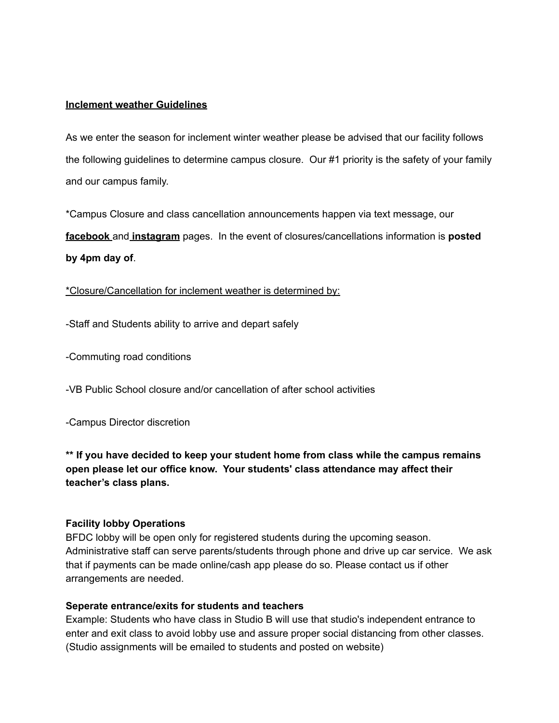### **Inclement weather Guidelines**

As we enter the season for inclement winter weather please be advised that our facility follows the following guidelines to determine campus closure. Our #1 priority is the safety of your family and our campus family.

\*Campus Closure and class cancellation announcements happen via text message, our **facebook** and **instagram** pages. In the event of closures/cancellations information is **posted by 4pm day of**.

\*Closure/Cancellation for inclement weather is determined by:

-Staff and Students ability to arrive and depart safely

-Commuting road conditions

-VB Public School closure and/or cancellation of after school activities

-Campus Director discretion

**\*\* If you have decided to keep your student home from class while the campus remains open please let our office know. Your students' class attendance may affect their teacher's class plans.**

#### **Facility lobby Operations**

BFDC lobby will be open only for registered students during the upcoming season. Administrative staff can serve parents/students through phone and drive up car service. We ask that if payments can be made online/cash app please do so. Please contact us if other arrangements are needed.

#### **Seperate entrance/exits for students and teachers**

Example: Students who have class in Studio B will use that studio's independent entrance to enter and exit class to avoid lobby use and assure proper social distancing from other classes. (Studio assignments will be emailed to students and posted on website)